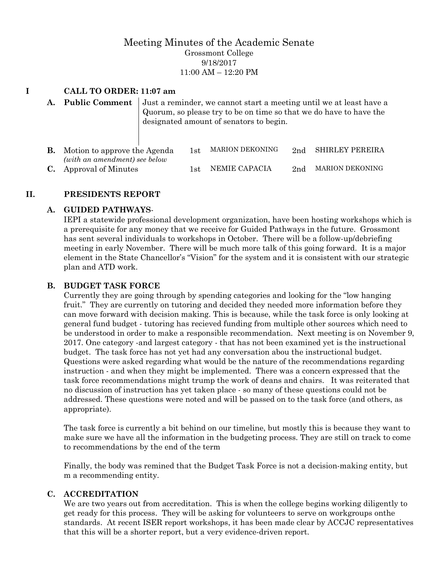# Meeting Minutes of the Academic Senate Grossmont College 9/18/2017 11:00 AM – 12:20 PM

# **I CALL TO ORDER: 11:07 am**

**A. Public Comment** Just a reminder, we cannot start a meeting until we at least have a Quorum, so please try to be on time so that we do have to have the designated amount of senators to begin.

| <b>B.</b> Motion to approve the Agenda<br>(with an amendment) see below | 1st | MARION DEKONING   |                 | 2nd SHIRLEY PEREIRA |
|-------------------------------------------------------------------------|-----|-------------------|-----------------|---------------------|
| <b>C.</b> Approval of Minutes                                           |     | 1st NEMIE CAPACIA | 2 <sub>nd</sub> | MARION DEKONING     |

### **II. PRESIDENTS REPORT**

#### **A. GUIDED PATHWAYS**-

IEPI a statewide professional development organization, have been hosting workshops which is a prerequisite for any money that we receive for Guided Pathways in the future. Grossmont has sent several individuals to workshops in October. There will be a follow-up/debriefing meeting in early November. There will be much more talk of this going forward. It is a major element in the State Chancellor's "Vision" for the system and it is consistent with our strategic plan and ATD work.

#### **B. BUDGET TASK FORCE**

Currently they are going through by spending categories and looking for the "low hanging fruit." They are currently on tutoring and decided they needed more information before they can move forward with decision making. This is because, while the task force is only looking at general fund budget - tutoring has recieved funding from multiple other sources which need to be understood in order to make a responsible recommendation. Next meeting is on November 9, 2017. One category -and largest category - that has not been examined yet is the instructional budget. The task force has not yet had any conversation abou the instructional budget. Questions were asked regarding what would be the nature of the recommendations regarding instruction - and when they might be implemented. There was a concern expressed that the task force recommendations might trump the work of deans and chairs. It was reiterated that no discussion of instruction has yet taken place - so many of these questions could not be addressed. These questions were noted and will be passed on to the task force (and others, as appropriate).

The task force is currently a bit behind on our timeline, but mostly this is because they want to make sure we have all the information in the budgeting process. They are still on track to come to recommendations by the end of the term

Finally, the body was remined that the Budget Task Force is not a decision-making entity, but m a recommending entity.

#### **C. ACCREDITATION**

We are two years out from accreditation. This is when the college begins working diligently to get ready for this process. They will be asking for volunteers to serve on workgroups onthe standards. At recent ISER report workshops, it has been made clear by ACCJC representatives that this will be a shorter report, but a very evidence-driven report.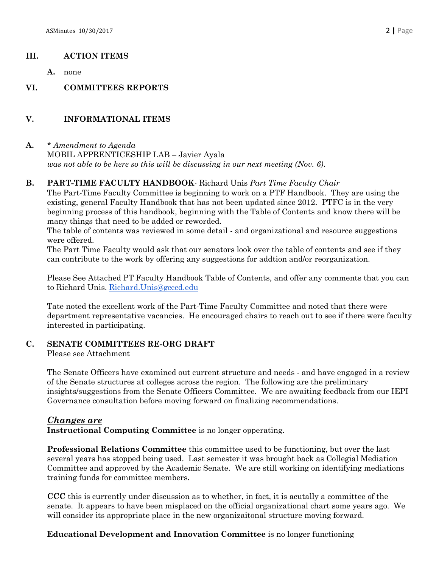### **III. ACTION ITEMS**

**A.** none

**VI. COMMITTEES REPORTS**

# **V. INFORMATIONAL ITEMS**

**A.** *\* Amendment to Agenda* MOBIL APPRENTICESHIP LAB – Javier Ayala *was not able to be here so this will be discussing in our next meeting (Nov. 6)*.

## **B. PART-TIME FACULTY HANDBOOK**- Richard Unis *Part Time Faculty Chair*

The Part-Time Faculty Committee is beginning to work on a PTF Handbook. They are using the existing, general Faculty Handbook that has not been updated since 2012. PTFC is in the very beginning process of this handbook, beginning with the Table of Contents and know there will be many things that need to be added or reworded.

The table of contents was reviewed in some detail - and organizational and resource suggestions were offered.

The Part Time Faculty would ask that our senators look over the table of contents and see if they can contribute to the work by offering any suggestions for addtion and/or reorganization.

Please See Attached PT Faculty Handbook Table of Contents, and offer any comments that you can to Richard Unis. [Richard.Unis@gcccd.edu](mailto:Richard.Unis@gcccd.edu)

Tate noted the excellent work of the Part-Time Faculty Committee and noted that there were department representative vacancies. He encouraged chairs to reach out to see if there were faculty interested in participating.

### **C. SENATE COMMITTEES RE-ORG DRAFT**

Please see Attachment

The Senate Officers have examined out current structure and needs - and have engaged in a review of the Senate structures at colleges across the region. The following are the preliminary insights/suggestions from the Senate Officers Committee. We are awaiting feedback from our IEPI Governance consultation before moving forward on finalizing recommendations.

### *Changes are*

**Instructional Computing Committee** is no longer opperating.

**Professional Relations Committee** this committee used to be functioning, but over the last several years has stopped being used. Last semester it was brought back as Collegial Mediation Committee and approved by the Academic Senate. We are still working on identifying mediations training funds for committee members.

**CCC** this is currently under discussion as to whether, in fact, it is acutally a committee of the senate. It appears to have been misplaced on the official organizational chart some years ago. We will consider its appropriate place in the new organizaitonal structure moving forward.

# **Educational Development and Innovation Committee** is no longer functioning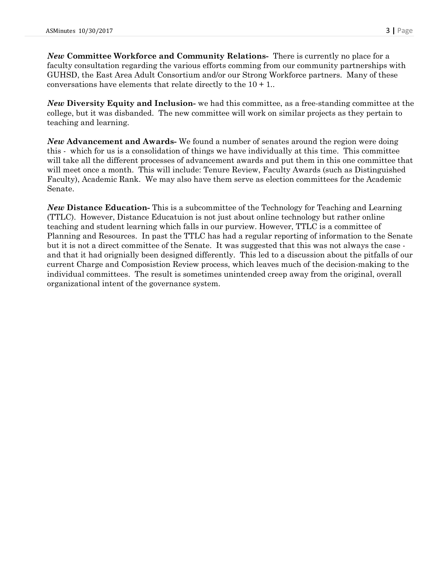*New* **Committee Workforce and Community Relations-** There is currently no place for a faculty consultation regarding the various efforts comming from our community partnerships with GUHSD, the East Area Adult Consortium and/or our Strong Workforce partners. Many of these conversations have elements that relate directly to the  $10 + 1$ .

*New* **Diversity Equity and Inclusion-** we had this committee, as a free-standing committee at the college, but it was disbanded. The new committee will work on similar projects as they pertain to teaching and learning.

*New* **Advancement and Awards-** We found a number of senates around the region were doing this - which for us is a consolidation of things we have individually at this time. This committee will take all the different processes of advancement awards and put them in this one committee that will meet once a month. This will include: Tenure Review, Faculty Awards (such as Distinguished Faculty), Academic Rank. We may also have them serve as election committees for the Academic Senate.

*New* **Distance Education-** This is a subcommittee of the Technology for Teaching and Learning (TTLC). However, Distance Educatuion is not just about online technology but rather online teaching and student learning which falls in our purview. However, TTLC is a committee of Planning and Resources. In past the TTLC has had a regular reporting of information to the Senate but it is not a direct committee of the Senate. It was suggested that this was not always the case and that it had orignially been designed differently. This led to a discussion about the pitfalls of our current Charge and Composistion Review process, which leaves much of the decision-making to the individual committees. The result is sometimes unintended creep away from the original, overall organizational intent of the governance system.